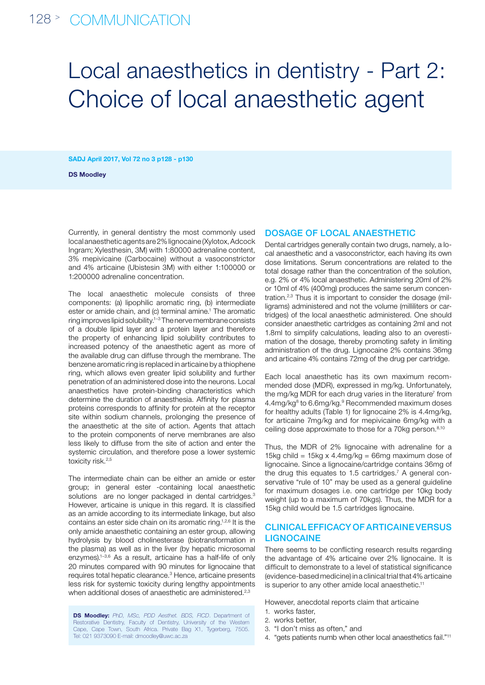# Local anaesthetics in dentistry - Part 2: Choice of local anaesthetic agent

SADJ April 2017, Vol 72 no 3 p128 - p130

DS Moodley

Currently, in general dentistry the most commonly used local anaesthetic agents are 2% lignocaine (Xylotox, Adcock Ingram; Xylesthesin, 3M) with 1:80000 adrenaline content, 3% mepivicaine (Carbocaine) without a vasoconstrictor and 4% articaine (Ubistesin 3M) with either 1:100000 or 1:200000 adrenaline concentration.

The local anaesthetic molecule consists of three components: (a) lipophilic aromatic ring, (b) intermediate ester or amide chain, and (c) terminal amine.<sup>1</sup> The aromatic ring improves lipid solubility.1–3 The nerve membrane consists of a double lipid layer and a protein layer and therefore the property of enhancing lipid solubility contributes to increased potency of the anaesthetic agent as more of the available drug can diffuse through the membrane. The benzene aromatic ring is replaced in articaine by a thiophene ring, which allows even greater lipid solubility and further penetration of an administered dose into the neurons. Local anaesthetics have protein-binding characteristics which determine the duration of anaesthesia. Affinity for plasma proteins corresponds to affinity for protein at the receptor site within sodium channels, prolonging the presence of the anaesthetic at the site of action. Agents that attach to the protein components of nerve membranes are also less likely to diffuse from the site of action and enter the systemic circulation, and therefore pose a lower systemic toxicity risk.<sup>2,5</sup>

The intermediate chain can be either an amide or ester group; in general ester -containing local anaesthetic solutions are no longer packaged in dental cartridges.<sup>3</sup> However, articaine is unique in this regard. It is classified as an amide according to its intermediate linkage, but also contains an ester side chain on its aromatic ring.1,2,6 It is the only amide anaesthetic containing an ester group, allowing hydrolysis by blood cholinesterase (biotransformation in the plasma) as well as in the liver (by hepatic microsomal enzymes).1–3,6 As a result, articaine has a half-life of only 20 minutes compared with 90 minutes for lignocaine that requires total hepatic clearance.<sup>3</sup> Hence, articaine presents less risk for systemic toxicity during lengthy appointments when additional doses of anaesthetic are administered.<sup>2,3</sup>

DS Moodley: *PhD, MSc, PDD Aesthet. BDS, FICD*. Department of Restorative Dentistry, Faculty of Dentistry, University of the Western Cape, Cape Town, South Africa. Private Bag X1, Tygerberg, 7505. Tel: 021 9373090 E-mail: dmoodley@uwc.ac.za

#### DOSAGE OF LOCAL ANAESTHETIC

Dental cartridges generally contain two drugs, namely, a local anaesthetic and a vasoconstrictor, each having its own dose limitations. Serum concentrations are related to the total dosage rather than the concentration of the solution, e.g. 2% or 4% local anaesthetic. Administering 20ml of 2% or 10ml of 4% (400mg) produces the same serum concentration.2,3 Thus it is important to consider the dosage (milligrams) administered and not the volume (milliliters or cartridges) of the local anaesthetic administered. One should consider anaesthetic cartridges as containing 2ml and not 1.8ml to simplify calculations, leading also to an overestimation of the dosage, thereby promoting safety in limiting administration of the drug. Lignocaine 2% contains 36mg and articaine 4% contains 72mg of the drug per cartridge.

Each local anaesthetic has its own maximum recommended dose (MDR), expressed in mg/kg. Unfortunately, the mg/kg MDR for each drug varies in the literature<sup>7</sup> from 4.4mg/kg<sup>8</sup> to 6.6mg/kg.<sup>9</sup> Recommended maximum doses for healthy adults (Table 1) for lignocaine 2% is 4.4mg/kg, for articaine 7mg/kg and for mepivicaine 6mg/kg with a ceiling dose approximate to those for a 70kg person.<sup>8,10</sup>

Thus, the MDR of 2% lignocaine with adrenaline for a 15kg child = 15kg x 4.4mg/kg = 66mg maximum dose of lignocaine. Since a lignocaine/cartridge contains 36mg of the drug this equates to 1.5 cartridges.<sup>7</sup> A general conservative "rule of 10" may be used as a general quideline for maximum dosages i.e. one cartridge per 10kg body weight (up to a maximum of 70kgs). Thus, the MDR for a 15kg child would be 1.5 cartridges lignocaine.

### CLINICAL EFFICACY OF ARTICAINE VERSUS **LIGNOCAINE**

There seems to be conflicting research results regarding the advantage of 4% articaine over 2% lignocaine. It is difficult to demonstrate to a level of statistical significance (evidence-based medicine) in a clinical trial that 4% articaine is superior to any other amide local anaesthetic.<sup>11</sup>

However, anecdotal reports claim that articaine

- 1. works faster,
- 2. works better,
- 3. "I don't miss as often," and
- 4. "gets patients numb when other local anaesthetics fail."11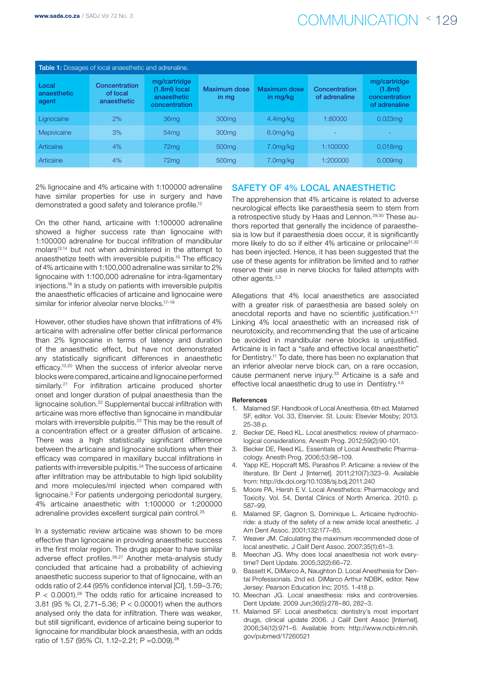## www.sada.co.za / SADJ Vol 72 No. 3  $COMMUNICATION \leq 129$

| <b>Table 1:</b> Dosages of local anaesthetic and adrenaline. |                                          |                                                               |                              |                          |                                |                                                                       |
|--------------------------------------------------------------|------------------------------------------|---------------------------------------------------------------|------------------------------|--------------------------|--------------------------------|-----------------------------------------------------------------------|
| Local<br>anaesthetic<br>agent                                | Concentration<br>of local<br>anaesthetic | mg/cartridge<br>(1.8ml) local<br>anaesthetic<br>concentration | <b>Maximum dose</b><br>in mg | Maximum dose<br>in mg/kg | Concentration<br>of adrenaline | mg/cartridge<br>(1.8 <sub>m</sub> )<br>concentration<br>of adrenaline |
| Lignocaine                                                   | 2%                                       | 36 <sub>mq</sub>                                              | 300 <sub>mq</sub>            | 4.4 <sub>mq</sub> /kg    | 1:80000                        | 0.023 <sub>mq</sub>                                                   |
| Mepivicaine                                                  | 3%                                       | 54 <sub>mg</sub>                                              | 300 <sub>mq</sub>            | 6.0mg/kg                 | ٠                              | ÷                                                                     |
| Articaine                                                    | 4%                                       | 72mg                                                          | 500 <sub>mq</sub>            | 7.0mg/kg                 | 1:100000                       | $0.018$ mq                                                            |
| Articaine                                                    | 4%                                       | 72 <sub>mq</sub>                                              | 500 <sub>mq</sub>            | 7.0mg/kg                 | 1:200000                       | 0.009 <sub>mq</sub>                                                   |

2% lignocaine and 4% articaine with 1:100000 adrenaline have similar properties for use in surgery and have demonstrated a good safety and tolerance profile.<sup>12</sup>

On the other hand, articaine with 1:100000 adrenaline showed a higher success rate than lignocaine with 1:100000 adrenaline for buccal infiltration of mandibular molars<sup>13,14</sup> but not when administered in the attempt to anaesthetize teeth with irreversible pulpitis.15 The efficacy of 4% articaine with 1:100,000 adrenaline was similar to 2% lignocaine with 1:100,000 adrenaline for intra-ligamentary injections.16 In a study on patients with irreversible pulpitis the anaesthetic efficacies of articaine and lignocaine were similar for inferior alveolar nerve blocks.<sup>17-19</sup>

However, other studies have shown that infiltrations of 4% articaine with adrenaline offer better clinical performance than 2% lignocaine in terms of latency and duration of the anaesthetic effect, but have not demonstrated any statistically significant differences in anaesthetic efficacy.13,20 When the success of inferior alveolar nerve blocks were compared, articaine and lignocaine performed similarly.<sup>21</sup> For infiltration articaine produced shorter onset and longer duration of pulpal anaesthesia than the lignocaine solution.22 Supplemental buccal infiltration with articaine was more effective than lignocaine in mandibular molars with irreversible pulpitis.<sup>23</sup> This may be the result of a concentration effect or a greater diffusion of articaine. There was a high statistically significant difference between the articaine and lignocaine solutions when their efficacy was compared in maxillary buccal infiltrations in patients with irreversible pulpitis.<sup>24</sup> The success of articaine after infiltration may be attributable to high lipid solubility and more molecules/ml injected when compared with lignocaine.<sup>3</sup> For patients undergoing periodontal surgery, 4% articaine anaesthetic with 1:100000 or 1:200000 adrenaline provides excellent surgical pain control.<sup>25</sup>

In a systematic review articaine was shown to be more effective than lignocaine in providing anaesthetic success in the first molar region. The drugs appear to have similar adverse effect profiles.26,27 Another meta-analysis study concluded that articaine had a probability of achieving anaesthetic success superior to that of lignocaine, with an odds ratio of 2.44 (95% confidence interval [CI], 1.59–3.76;  $P < 0.0001$ ).<sup>28</sup> The odds ratio for articaine increased to 3.81 (95 % CI, 2.71–5.36; P < 0.00001) when the authors analysed only the data for infiltration. There was weaker, but still significant, evidence of articaine being superior to lignocaine for mandibular block anaesthesia, with an odds ratio of 1.57 (95% CI, 1.12–2.21; P =0.009).28

### SAFETY OF 4% LOCAL ANAESTHETIC

The apprehension that 4% articaine is related to adverse neurological effects like paraesthesia seem to stem from a retrospective study by Haas and Lennon.29,30 These authors reported that generally the incidence of paraesthesia is low but if paraesthesia does occur, it is significantly more likely to do so if either 4% articaine or prilocaine<sup>31,32</sup> has been injected. Hence, it has been suggested that the use of these agents for infiltration be limited and to rather reserve their use in nerve blocks for failed attempts with other agents.<sup>2,3</sup>

Allegations that 4% local anaesthetics are associated with a greater risk of paraesthesia are based solely on anecdotal reports and have no scientific justification.<sup>6,11</sup> Linking 4% local anaesthetic with an increased risk of neurotoxicity, and recommending that the use of articaine be avoided in mandibular nerve blocks is unjustified. Articaine is in fact a "safe and effective local anaesthetic" for Dentistry.11 To date, there has been no explanation that an inferior alveolar nerve block can, on a rare occasion, cause permanent nerve injury.<sup>33</sup> Articaine is a safe and effective local anaesthetic drug to use in Dentistry.<sup>4,6</sup>

#### References

- 1. Malamed SF. Handbook of Local Anesthesia. 6th ed. Malamed SF, editor. Vol. 33, Elservier. St. Louis: Elsevier Mosby; 2013. 25-38 p.
- 2. Becker DE, Reed KL. Local anesthetics: review of pharmacological considerations. Anesth Prog. 2012;59(2):90-101.
- 3. Becker DE, Reed KL. Essentials of Local Anesthetic Pharmacology. Anesth Prog. 2006;53:98–109.
- 4. Yapp KE, Hopcraft MS, Parashos P. Articaine: a review of the literature. Br Dent J [Internet]. 2011;210(7):323–9. Available from: http://dx.doi.org/10.1038/sj.bdj.2011.240
- 5. Moore PA, Hersh E V. Local Anesthetics: Pharmacology and Toxicity. Vol. 54, Dental Clinics of North America. 2010. p. 587–99.
- 6. Malamed SF, Gagnon S, Dominique L. Articaine hydrochloride: a study of the safety of a new amide local anesthetic. J Am Dent Assoc. 2001;132:177–85.
- 7. Weaver JM. Calculating the maximum recommended dose of local anesthetic. J Calif Dent Assoc. 2007;35(1):61–3.
- Meechan JG. Why does local anaesthesia not work everytime? Dent Update. 2005;32(2):66–72.
- Bassett K, DiMarco A, Naughton D. Local Anesthesia for Dental Professionals. 2nd ed. DiMarco Arthur NDBK, editor. New Jersey: Pearson Education Inc; 2015. 1-418 p.
- 10. Meechan JG. Local anaesthesia: risks and controversies. Dent Update. 2009 Jun;36(5):278–80, 282–3.
- 11. Malamed SF. Local anesthetics: dentistry's most important drugs, clinical update 2006. J Calif Dent Assoc [Internet]. 2006;34(12):971–6. Available from: http://www.ncbi.nlm.nih. gov/pubmed/17260521